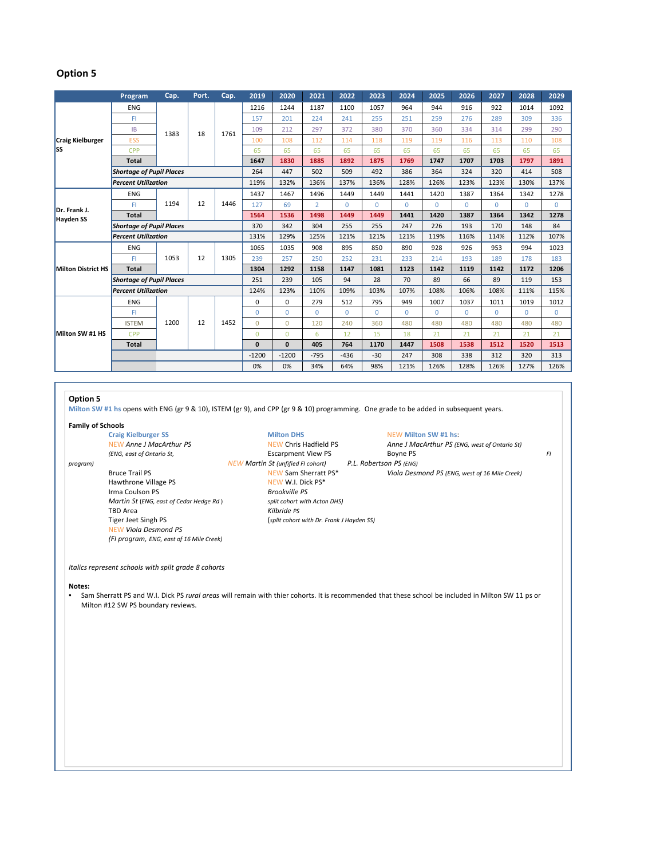## **Option 5**

|                                | Program                         | Cap. | Port. | Cap. | 2019         | 2020         | 2021           | 2022         | 2023         | 2024     | 2025     | 2026     | 2027     | 2028         | 2029        |
|--------------------------------|---------------------------------|------|-------|------|--------------|--------------|----------------|--------------|--------------|----------|----------|----------|----------|--------------|-------------|
| <b>Craig Kielburger</b><br>lss | <b>ENG</b>                      | 1383 | 18    | 1761 | 1216         | 1244         | 1187           | 1100         | 1057         | 964      | 944      | 916      | 922      | 1014         | 1092        |
|                                | FI                              |      |       |      | 157          | 201          | 224            | 241          | 255          | 251      | 259      | 276      | 289      | 309          | 336         |
|                                | <b>IB</b>                       |      |       |      | 109          | 212          | 297            | 372          | 380          | 370      | 360      | 334      | 314      | 299          | 290         |
|                                | <b>ESS</b>                      |      |       |      | 100          | 108          | 112            | 114          | 118          | 119      | 119      | 116      | 113      | 110          | 108         |
|                                | CPP                             |      |       |      | 65           | 65           | 65             | 65           | 65           | 65       | 65       | 65       | 65       | 65           | 65          |
|                                | <b>Total</b>                    |      |       |      | 1647         | 1830         | 1885           | 1892         | 1875         | 1769     | 1747     | 1707     | 1703     | 1797         | 1891        |
|                                | <b>Shortage of Pupil Places</b> |      |       |      | 264          | 447          | 502            | 509          | 492          | 386      | 364      | 324      | 320      | 414          | 508         |
|                                | <b>Percent Utilization</b>      |      |       |      | 119%         | 132%         | 136%           | 137%         | 136%         | 128%     | 126%     | 123%     | 123%     | 130%         | 137%        |
| Dr. Frank J.<br>Hayden SS      | <b>ENG</b>                      | 1194 | 12    | 1446 | 1437         | 1467         | 1496           | 1449         | 1449         | 1441     | 1420     | 1387     | 1364     | 1342         | 1278        |
|                                | FI                              |      |       |      | 127          | 69           | $\overline{2}$ | $\Omega$     | $\Omega$     | $\Omega$ | $\Omega$ | $\Omega$ | $\Omega$ | $\Omega$     | $\Omega$    |
|                                | <b>Total</b>                    |      |       |      | 1564         | 1536         | 1498           | 1449         | 1449         | 1441     | 1420     | 1387     | 1364     | 1342         | 1278        |
|                                | <b>Shortage of Pupil Places</b> |      |       |      | 370          | 342          | 304            | 255          | 255          | 247      | 226      | 193      | 170      | 148          | 84          |
|                                | <b>Percent Utilization</b>      |      |       |      | 131%         | 129%         | 125%           | 121%         | 121%         | 121%     | 119%     | 116%     | 114%     | 112%         | 107%        |
| <b>Milton District HS</b>      | <b>ENG</b>                      | 1053 | 12    | 1305 | 1065         | 1035         | 908            | 895          | 850          | 890      | 928      | 926      | 953      | 994          | 1023        |
|                                | FI                              |      |       |      | 239          | 257          | 250            | 252          | 231          | 233      | 214      | 193      | 189      | 178          | 183         |
|                                | <b>Total</b>                    |      |       |      | 1304         | 1292         | 1158           | 1147         | 1081         | 1123     | 1142     | 1119     | 1142     | 1172         | 1206        |
|                                | <b>Shortage of Pupil Places</b> |      |       |      | 251          | 239          | 105            | 94           | 28           | 70       | 89       | 66       | 89       | 119          | 153         |
|                                | <b>Percent Utilization</b>      |      |       |      | 124%         | 123%         | 110%           | 109%         | 103%         | 107%     | 108%     | 106%     | 108%     | 111%         | 115%        |
| Milton SW #1 HS                | <b>ENG</b>                      | 1200 | 12    | 1452 | 0            | $\Omega$     | 279            | 512          | 795          | 949      | 1007     | 1037     | 1011     | 1019         | 1012        |
|                                | FI                              |      |       |      | $\mathbf{0}$ | $\Omega$     | $\Omega$       | $\mathbf{0}$ | $\mathbf{0}$ | $\Omega$ | $\Omega$ | $\Omega$ | $\Omega$ | $\mathbf{0}$ | $\mathbf 0$ |
|                                | <b>ISTEM</b>                    |      |       |      | $\Omega$     | $\Omega$     | 120            | 240          | 360          | 480      | 480      | 480      | 480      | 480          | 480         |
|                                | <b>CPP</b>                      |      |       |      | $\Omega$     | $\Omega$     | 6              | 12           | 15           | 18       | 21       | 21       | 21       | 21           | 21          |
|                                | <b>Total</b>                    |      |       |      | $\mathbf{0}$ | $\mathbf{0}$ | 405            | 764          | 1170         | 1447     | 1508     | 1538     | 1512     | 1520         | 1513        |
|                                |                                 |      |       |      | $-1200$      | $-1200$      | $-795$         | $-436$       | $-30$        | 247      | 308      | 338      | 312      | 320          | 313         |
|                                |                                 |      |       |      | 0%           | 0%           | 34%            | 64%          | 98%          | 121%     | 126%     | 128%     | 126%     | 127%         | 126%        |

## **Option 5**

**Milton SW #1 hs** opens with ENG (gr 9 & 10), ISTEM (gr 9), and CPP (gr 9 & 10) programming. One grade to be added in subsequent years.

# **Family of Schools**

Hawthrone Village PS NEW W.I. Dick PS\* Irma Coulson PS<br> *Martin St (ENG, east of Cedar Hedge Rd)* Split cohort with Acton DHS) *Martin St* (*ENG, east of Cedar Hedge Rd* ) TBD Area *Kilbride PS* Tiger Jeet Singh PS (*split cohort with Dr. Frank J Hayden SS)* NEW *Viola Desmond PS (FI program, ENG, east of 16 Mile Creek)*

**Craig Kielburger SS**<br> **Milton DHS** Milton DHS NEW Milton SW #1 hs:<br>
NEW Anne J MacArthur PS (EI *program) NEW Martin St (unfified FI cohort) P.L. Robertson PS (ENG)*

 $A$ nne *J MacArthur PS* (ENG, west of Ontario St) *(ENG, east of Ontario St,* Escarpment View PS Boyne PS *FI*

Bruce Trail PS NEW Sam Sherratt PS\* *Viola Desmond PS (ENG, west of 16 Mile Creek)*

*Italics represent schools with spilt grade 8 cohorts*

### **Notes:**

• Sam Sherratt PS and W.I. Dick PS *rural areas* will remain with thier cohorts. It is recommended that these school be included in Milton SW 11 ps or Milton #12 SW PS boundary reviews.